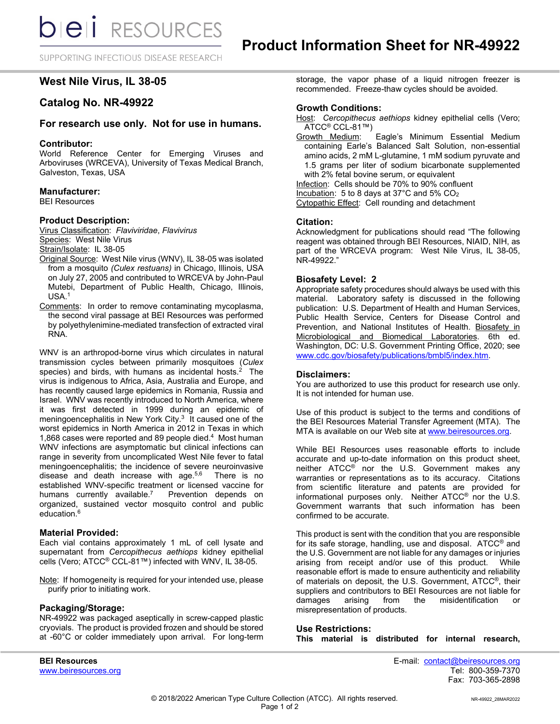SUPPORTING INFECTIOUS DISEASE RESEARCH

# **West Nile Virus, IL 38-05**

# **Catalog No. NR-49922**

# **For research use only. Not for use in humans.**

## **Contributor:**

World Reference Center for Emerging Viruses and Arboviruses (WRCEVA), University of Texas Medical Branch, Galveston, Texas, USA

## **Manufacturer:**

BEI Resources

## **Product Description:**

Virus Classification: *Flaviviridae*, *Flavivirus* Species: West Nile Virus Strain/Isolate: IL 38-05

- Original Source: West Nile virus (WNV), IL 38-05 was isolated from a mosquito *(Culex restuans)* in Chicago, Illinois, USA on July 27, 2005 and contributed to WRCEVA by John-Paul Mutebi, Department of Public Health, Chicago, Illinois, USA.1
- Comments: In order to remove contaminating mycoplasma, the second viral passage at BEI Resources was performed by polyethylenimine-mediated transfection of extracted viral RNA.

WNV is an arthropod-borne virus which circulates in natural transmission cycles between primarily mosquitoes (*Culex*  species) and birds, with humans as incidental hosts. $2$  The virus is indigenous to Africa, Asia, Australia and Europe, and has recently caused large epidemics in Romania, Russia and Israel. WNV was recently introduced to North America, where it was first detected in 1999 during an epidemic of meningoencephalitis in New York City.<sup>3</sup> It caused one of the worst epidemics in North America in 2012 in Texas in which 1,868 cases were reported and 89 people died.4 Most human WNV infections are asymptomatic but clinical infections can range in severity from uncomplicated West Nile fever to fatal meningoencephalitis; the incidence of severe neuroinvasive disease and death increase with age. $5,6$  There is no established WNV-specific treatment or licensed vaccine for humans currently available.<sup>7</sup> Prevention depends on organized, sustained vector mosquito control and public education.<sup>6</sup>

## **Material Provided:**

Each vial contains approximately 1 mL of cell lysate and supernatant from *Cercopithecus aethiops* kidney epithelial cells (Vero; ATCC® CCL-81™) infected with WNV, IL 38-05.

Note: If homogeneity is required for your intended use, please purify prior to initiating work.

# **Packaging/Storage:**

NR-49922 was packaged aseptically in screw-capped plastic cryovials. The product is provided frozen and should be stored at -60°C or colder immediately upon arrival. For long-term storage, the vapor phase of a liquid nitrogen freezer is recommended. Freeze-thaw cycles should be avoided.

### **Growth Conditions:**

Host: *Cercopithecus aethiops* kidney epithelial cells (Vero; ATCC® CCL-81™)

Growth Medium: Eagle's Minimum Essential Medium containing Earle's Balanced Salt Solution, non-essential amino acids, 2 mM L-glutamine, 1 mM sodium pyruvate and 1.5 grams per liter of sodium bicarbonate supplemented with 2% fetal bovine serum, or equivalent

Infection: Cells should be 70% to 90% confluent

Incubation: 5 to 8 days at 37°C and 5% CO2

Cytopathic Effect: Cell rounding and detachment

### **Citation:**

Acknowledgment for publications should read "The following reagent was obtained through BEI Resources, NIAID, NIH, as part of the WRCEVA program: West Nile Virus, IL 38-05, NR-49922."

### **Biosafety Level: 2**

Appropriate safety procedures should always be used with this material. Laboratory safety is discussed in the following publication: U.S. Department of Health and Human Services, Public Health Service, Centers for Disease Control and Prevention, and National Institutes of Health. Biosafety in Microbiological and Biomedical Laboratories. 6th ed. Washington, DC: U.S. Government Printing Office, 2020; see [www.cdc.gov/biosafety/publications/bmbl5/index.htm.](http://www.cdc.gov/biosafety/publications/bmbl5/index.htm)

#### **Disclaimers:**

You are authorized to use this product for research use only. It is not intended for human use.

Use of this product is subject to the terms and conditions of the BEI Resources Material Transfer Agreement (MTA). The MTA is available on our Web site at [www.beiresources.org.](http://www.beiresources.org/)

While BEI Resources uses reasonable efforts to include accurate and up-to-date information on this product sheet, neither ATCC® nor the U.S. Government makes any warranties or representations as to its accuracy. Citations from scientific literature and patents are provided for informational purposes only. Neither ATCC® nor the U.S. Government warrants that such information has been confirmed to be accurate.

This product is sent with the condition that you are responsible for its safe storage, handling, use and disposal. ATCC® and the U.S. Government are not liable for any damages or injuries arising from receipt and/or use of this product. While reasonable effort is made to ensure authenticity and reliability of materials on deposit, the U.S. Government, ATCC®, their suppliers and contributors to BEI Resources are not liable for damages arising from the misidentification or misrepresentation of products.

# **Use Restrictions:**

**This material is distributed for internal research,** 

www.beiresources.org

**BEI Resources** E-mail: contact@beiresources.org Fax: 703-365-2898